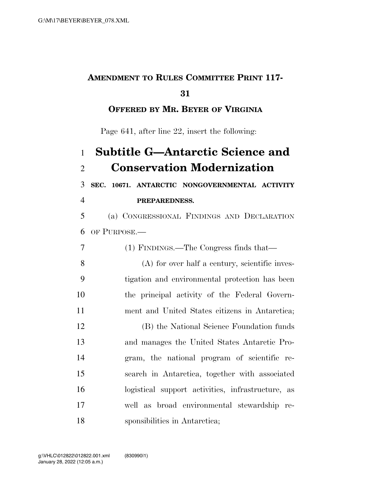# **AMENDMENT TO RULES COMMITTEE PRINT 117-**

### 

## **OFFERED BY MR. BEYER OF VIRGINIA**

Page 641, after line 22, insert the following:

## **Subtitle G—Antarctic Science and Conservation Modernization**

**SEC. 10671. ANTARCTIC NONGOVERNMENTAL ACTIVITY** 

**PREPAREDNESS.** 

 (a) CONGRESSIONAL FINDINGS AND DECLARATION OF PURPOSE.—

 (1) FINDINGS.—The Congress finds that— (A) for over half a century, scientific inves- tigation and environmental protection has been the principal activity of the Federal Govern-ment and United States citizens in Antarctica;

 (B) the National Science Foundation funds and manages the United States Antarctic Pro- gram, the national program of scientific re- search in Antarctica, together with associated logistical support activities, infrastructure, as well as broad environmental stewardship re-sponsibilities in Antarctica;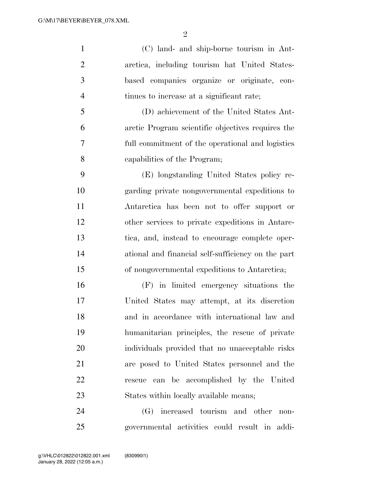$\mathfrak{D}$ 

 (C) land- and ship-borne tourism in Ant- arctica, including tourism hat United States- based companies organize or originate, con- tinues to increase at a significant rate; (D) achievement of the United States Ant-

 arctic Program scientific objectives requires the full commitment of the operational and logistics capabilities of the Program;

 (E) longstanding United States policy re- garding private nongovernmental expeditions to Antarctica has been not to offer support or other services to private expeditions in Antarc- tica, and, instead to encourage complete oper- ational and financial self-sufficiency on the part of nongovernmental expeditions to Antarctica;

 (F) in limited emergency situations the United States may attempt, at its discretion and in accordance with international law and humanitarian principles, the rescue of private individuals provided that no unacceptable risks are posed to United States personnel and the rescue can be accomplished by the United States within locally available means;

 (G) increased tourism and other non-governmental activities could result in addi-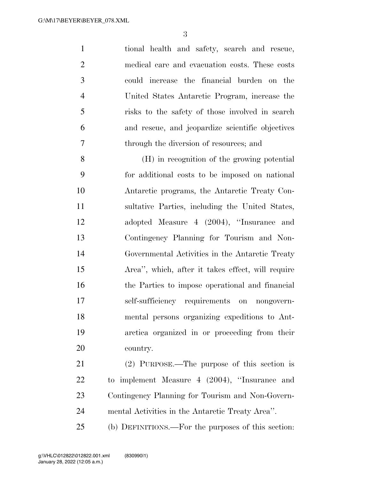tional health and safety, search and rescue, medical care and evacuation costs. These costs could increase the financial burden on the United States Antarctic Program, increase the risks to the safety of those involved in search and rescue, and jeopardize scientific objectives through the diversion of resources; and

 (H) in recognition of the growing potential for additional costs to be imposed on national Antarctic programs, the Antarctic Treaty Con- sultative Parties, including the United States, adopted Measure 4 (2004), ''Insurance and Contingency Planning for Tourism and Non- Governmental Activities in the Antarctic Treaty Area'', which, after it takes effect, will require the Parties to impose operational and financial self-sufficiency requirements on nongovern- mental persons organizing expeditions to Ant- arctica organized in or proceeding from their country.

 (2) PURPOSE.—The purpose of this section is to implement Measure 4 (2004), ''Insurance and Contingency Planning for Tourism and Non-Govern-mental Activities in the Antarctic Treaty Area''.

(b) DEFINITIONS.—For the purposes of this section: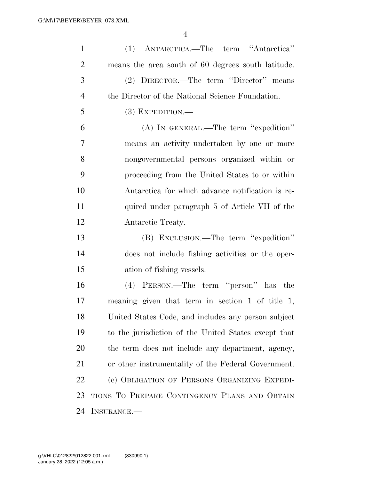| $\mathbf{1}$   | (1) ANTARCTICA.—The term "Antarctica"                |
|----------------|------------------------------------------------------|
| $\overline{2}$ | means the area south of 60 degrees south latitude.   |
| 3              | (2) DIRECTOR.—The term "Director" means              |
| $\overline{4}$ | the Director of the National Science Foundation.     |
| 5              | $(3)$ EXPEDITION.—                                   |
| 6              | (A) IN GENERAL.—The term "expedition"                |
| $\tau$         | means an activity undertaken by one or more          |
| 8              | nongovernmental persons organized within or          |
| 9              | proceeding from the United States to or within       |
| 10             | Antarctica for which advance notification is re-     |
| 11             | quired under paragraph 5 of Article VII of the       |
| 12             | Antarctic Treaty.                                    |
| 13             | (B) EXCLUSION.—The term "expedition"                 |
| 14             | does not include fishing activities or the oper-     |
| 15             | ation of fishing vessels.                            |
| 16             | (4) PERSON.—The term "person" has the                |
| 17             | meaning given that term in section 1 of title 1,     |
| 18             | United States Code, and includes any person subject  |
| 19             | to the jurisdiction of the United States except that |
| 20             | the term does not include any department, agency,    |
| 21             | or other instrumentality of the Federal Government.  |
| 22             | (c) OBLIGATION OF PERSONS ORGANIZING EXPEDI-         |
| 23             | TIONS TO PREPARE CONTINGENCY PLANS AND OBTAIN        |
| 24             | INSURANCE.                                           |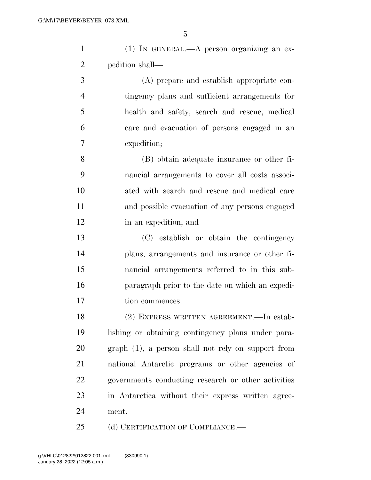| $(1)$ IN GENERAL.—A person organizing an ex- |                |  |  |
|----------------------------------------------|----------------|--|--|
| pedition shall—                              |                |  |  |
|                                              | $\blacksquare$ |  |  |

 (A) prepare and establish appropriate con- tingency plans and sufficient arrangements for health and safety, search and rescue, medical care and evacuation of persons engaged in an expedition;

 (B) obtain adequate insurance or other fi- nancial arrangements to cover all costs associ- ated with search and rescue and medical care and possible evacuation of any persons engaged in an expedition; and

 (C) establish or obtain the contingency plans, arrangements and insurance or other fi- nancial arrangements referred to in this sub- paragraph prior to the date on which an expedi-17 tion commences.

 (2) EXPRESS WRITTEN AGREEMENT.—In estab- lishing or obtaining contingency plans under para- graph (1), a person shall not rely on support from national Antarctic programs or other agencies of governments conducting research or other activities in Antarctica without their express written agree-ment.

25 (d) CERTIFICATION OF COMPLIANCE.—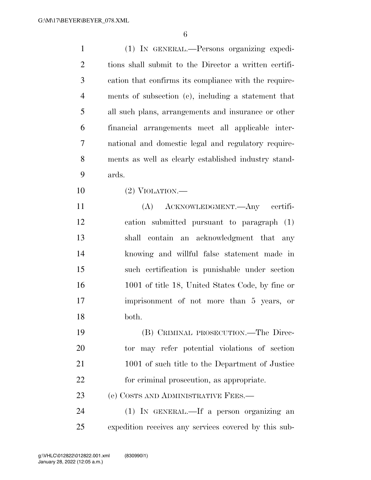| $\mathbf{1}$   | (1) IN GENERAL.—Persons organizing expedi-            |
|----------------|-------------------------------------------------------|
| $\overline{2}$ | tions shall submit to the Director a written certifi- |
| 3              | cation that confirms its compliance with the require- |
| $\overline{4}$ | ments of subsection (c), including a statement that   |
| 5              | all such plans, arrangements and insurance or other   |
| 6              | financial arrangements meet all applicable inter-     |
| 7              | national and domestic legal and regulatory require-   |
| 8              | ments as well as clearly established industry stand-  |
| 9              | ards.                                                 |
| 10             | $(2)$ VIOLATION.—                                     |
| 11             | (A) ACKNOWLEDGMENT. Any certifi-                      |
| 12             | cation submitted pursuant to paragraph (1)            |
| 13             | shall contain an acknowledgment that any              |
| 14             | knowing and willful false statement made in           |
| 15             | such certification is punishable under section        |
| 16             | 1001 of title 18, United States Code, by fine or      |
| 17             | imprisonment of not more than 5 years, or             |
| 18             | both.                                                 |
| 19             | (B) CRIMINAL PROSECUTION.—The Direc-                  |
| 20             | tor may refer potential violations of section         |
| 21             | 1001 of such title to the Department of Justice       |
| 22             | for criminal prosecution, as appropriate.             |
| 23             | (e) COSTS AND ADMINISTRATIVE FEES.—                   |
| 24             | (1) IN GENERAL.—If a person organizing an             |
| 25             | expedition receives any services covered by this sub- |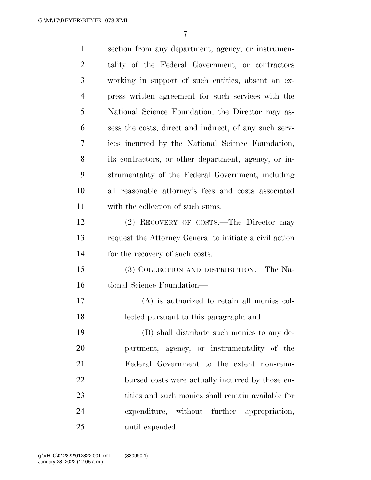| $\mathbf{1}$   | section from any department, agency, or instrumen-      |
|----------------|---------------------------------------------------------|
| $\overline{2}$ | tality of the Federal Government, or contractors        |
| 3              | working in support of such entities, absent an ex-      |
| $\overline{4}$ | press written agreement for such services with the      |
| 5              | National Science Foundation, the Director may as-       |
| 6              | sess the costs, direct and indirect, of any such serv-  |
| 7              | ices incurred by the National Science Foundation,       |
| 8              | its contractors, or other department, agency, or in-    |
| 9              | strumentality of the Federal Government, including      |
| 10             | all reasonable attorney's fees and costs associated     |
| 11             | with the collection of such sums.                       |
| 12             | (2) RECOVERY OF COSTS.—The Director may                 |
| 13             | request the Attorney General to initiate a civil action |
| 14             | for the recovery of such costs.                         |
| 15             | (3) COLLECTION AND DISTRIBUTION.—The Na-                |
| 16             | tional Science Foundation-                              |
| 17             | $(A)$ is authorized to retain all monies col-           |
| 18             | lected pursuant to this paragraph; and                  |
| 19             | (B) shall distribute such monies to any de-             |
| 20             | partment, agency, or instrumentality of the             |
| 21             | Federal Government to the extent non-reim-              |
| 22             | bursed costs were actually incurred by those en-        |
| 23             | tities and such monies shall remain available for       |
| 24             | expenditure, without further appropriation,             |
| 25             | until expended.                                         |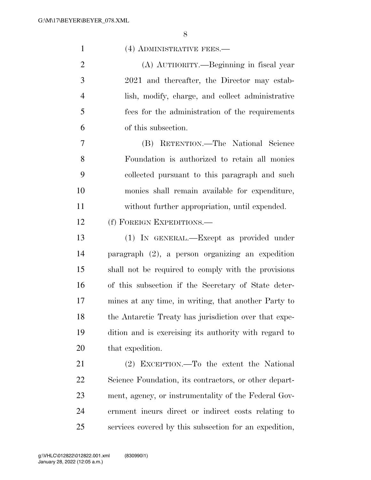| $\mathbf{1}$   | (4) ADMINISTRATIVE FEES.-                              |
|----------------|--------------------------------------------------------|
| $\overline{2}$ | (A) AUTHORITY.—Beginning in fiscal year                |
| 3              | 2021 and thereafter, the Director may estab-           |
| $\overline{4}$ | lish, modify, charge, and collect administrative       |
| 5              | fees for the administration of the requirements        |
| 6              | of this subsection.                                    |
| 7              | (B) RETENTION.—The National Science                    |
| 8              | Foundation is authorized to retain all monies          |
| 9              | collected pursuant to this paragraph and such          |
| 10             | monies shall remain available for expenditure,         |
| 11             | without further appropriation, until expended.         |
| 12             | (f) FOREIGN EXPEDITIONS.—                              |
| 13             | (1) IN GENERAL.—Except as provided under               |
| 14             | paragraph (2), a person organizing an expedition       |
| 15             | shall not be required to comply with the provisions    |
| 16             | of this subsection if the Secretary of State deter-    |
| 17             | mines at any time, in writing, that another Party to   |
| 18             | the Antarctic Treaty has jurisdiction over that expe-  |
| 19             | dition and is exercising its authority with regard to  |
| 20             | that expedition.                                       |
| 21             | (2) EXCEPTION.—To the extent the National              |
| 22             | Science Foundation, its contractors, or other depart-  |
| 23             | ment, agency, or instrumentality of the Federal Gov-   |
| 24             | ernment incurs direct or indirect costs relating to    |
| 25             | services covered by this subsection for an expedition, |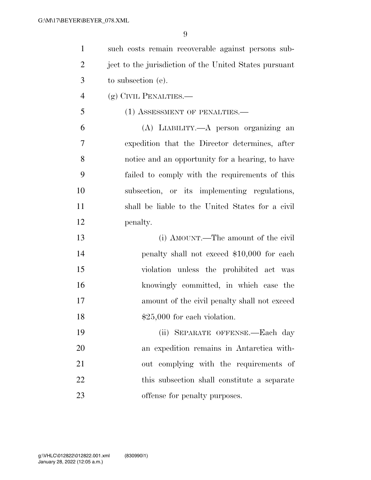| $\mathbf{1}$   | such costs remain recoverable against persons sub-     |
|----------------|--------------------------------------------------------|
| $\overline{2}$ | ject to the jurisdiction of the United States pursuant |
| 3              | to subsection (e).                                     |
| $\overline{4}$ | (g) CIVIL PENALTIES.—                                  |
| 5              | (1) ASSESSMENT OF PENALTIES.-                          |
| 6              | (A) LIABILITY.—A person organizing an                  |
| 7              | expedition that the Director determines, after         |
| 8              | notice and an opportunity for a hearing, to have       |
| 9              | failed to comply with the requirements of this         |
| 10             | subsection, or its implementing regulations,           |
| 11             | shall be liable to the United States for a civil       |
| 12             | penalty.                                               |
| 13             | (i) AMOUNT.—The amount of the civil                    |
| 14             | penalty shall not exceed \$10,000 for each             |
| 15             | violation unless the prohibited act was                |
| 16             | knowingly committed, in which case the                 |
| 17             | amount of the civil penalty shall not exceed           |
| 18             | $$25,000$ for each violation.                          |
| 19             | SEPARATE OFFENSE.—Each day<br>(ii)                     |
| 20             | an expedition remains in Antarctica with-              |
| 21             | out complying with the requirements of                 |
| 22             | this subsection shall constitute a separate            |
| 23             | offense for penalty purposes.                          |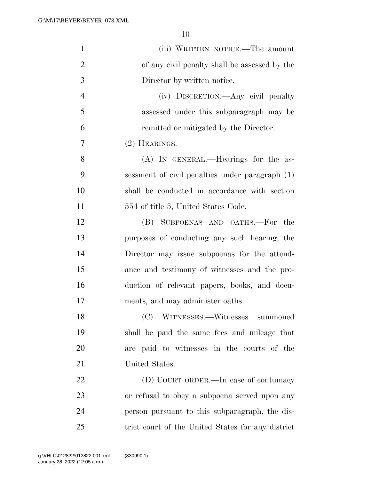| $\mathbf{1}$   | (iii) WRITTEN NOTICE.—The amount                  |
|----------------|---------------------------------------------------|
| $\overline{2}$ | of any civil penalty shall be assessed by the     |
| 3              | Director by written notice.                       |
| $\overline{4}$ | (iv) DISCRETION.—Any civil penalty                |
| 5              | assessed under this subparagraph may be           |
| 6              | remitted or mitigated by the Director.            |
| 7              | $(2)$ HEARINGS.—                                  |
| 8              | (A) IN GENERAL.—Hearings for the as-              |
| 9              | sessment of civil penalties under paragraph (1)   |
| 10             | shall be conducted in accordance with section     |
| 11             | 554 of title 5, United States Code.               |
| 12             | (B) SUBPOENAS AND OATHS.-For<br>the               |
| 13             | purposes of conducting any such hearing, the      |
| 14             | Director may issue subpoenas for the attend-      |
| 15             | ance and testimony of witnesses and the pro-      |
| 16             | duction of relevant papers, books, and docu-      |
| 17             | ments, and may administer oaths.                  |
| 18             | (C) WITNESSES.—Witnesses summoned                 |
| 19             | shall be paid the same fees and mileage that      |
| 20             | are paid to witnesses in the courts of the        |
| 21             | United States.                                    |
| 22             | (D) COURT ORDER.—In case of contumacy             |
| 23             | or refusal to obey a subpoena served upon any     |
| 24             | person pursuant to this subparagraph, the dis-    |
| 25             | trict court of the United States for any district |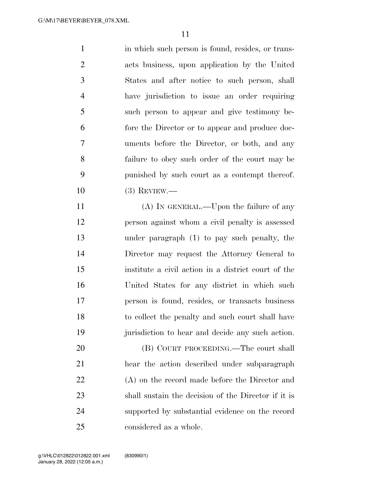1 in which such person is found, resides, or trans- acts business, upon application by the United States and after notice to such person, shall have jurisdiction to issue an order requiring such person to appear and give testimony be- fore the Director or to appear and produce doc- uments before the Director, or both, and any failure to obey such order of the court may be punished by such court as a contempt thereof. (3) REVIEW.—

11 (A) IN GENERAL.—Upon the failure of any person against whom a civil penalty is assessed under paragraph (1) to pay such penalty, the Director may request the Attorney General to institute a civil action in a district court of the United States for any district in which such person is found, resides, or transacts business to collect the penalty and such court shall have jurisdiction to hear and decide any such action.

 (B) COURT PROCEEDING.—The court shall hear the action described under subparagraph (A) on the record made before the Director and shall sustain the decision of the Director if it is supported by substantial evidence on the record considered as a whole.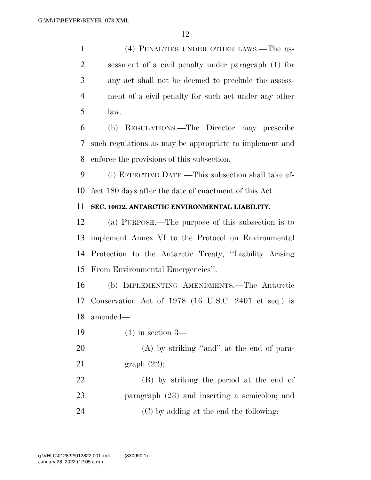(4) PENALTIES UNDER OTHER LAWS.—The as- sessment of a civil penalty under paragraph (1) for any act shall not be deemed to preclude the assess- ment of a civil penalty for such act under any other law.

 (h) REGULATIONS.—The Director may prescribe such regulations as may be appropriate to implement and enforce the provisions of this subsection.

 (i) EFFECTIVE DATE.—This subsection shall take ef-fect 180 days after the date of enactment of this Act.

#### **SEC. 10672. ANTARCTIC ENVIRONMENTAL LIABILITY.**

 (a) PURPOSE.—The purpose of this subsection is to implement Annex VI to the Protocol on Environmental Protection to the Antarctic Treaty, ''Liability Arising From Environmental Emergencies''.

 (b) IMPLEMENTING AMENDMENTS.—The Antarctic Conservation Act of 1978 (16 U.S.C. 2401 et seq.) is amended—

(1) in section 3—

20 (A) by striking "and" at the end of para-graph (22);

 (B) by striking the period at the end of paragraph (23) and inserting a semicolon; and (C) by adding at the end the following: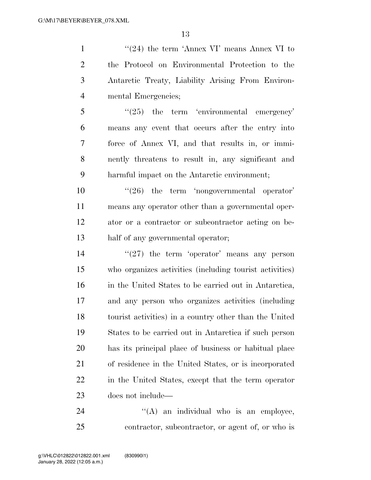$\frac{1}{24}$  the term 'Annex VI' means Annex VI to the Protocol on Environmental Protection to the Antarctic Treaty, Liability Arising From Environ-mental Emergencies;

 ''(25) the term 'environmental emergency' means any event that occurs after the entry into force of Annex VI, and that results in, or immi- nently threatens to result in, any significant and harmful impact on the Antarctic environment;

 $\frac{10}{26}$  the term 'nongovernmental operator' means any operator other than a governmental oper- ator or a contractor or subcontractor acting on be-half of any governmental operator;

 $(27)$  the term 'operator' means any person who organizes activities (including tourist activities) in the United States to be carried out in Antarctica, and any person who organizes activities (including tourist activities) in a country other than the United States to be carried out in Antarctica if such person has its principal place of business or habitual place of residence in the United States, or is incorporated in the United States, except that the term operator does not include—

24  $((A)$  an individual who is an employee, contractor, subcontractor, or agent of, or who is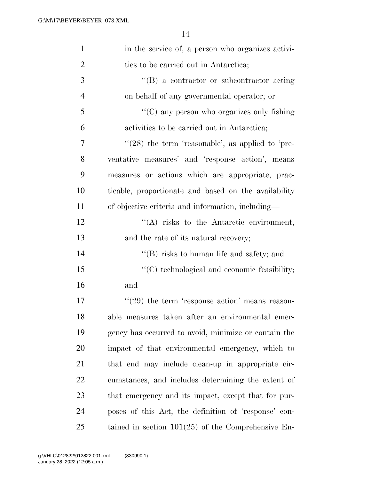| $\mathbf{1}$   | in the service of, a person who organizes activi-    |
|----------------|------------------------------------------------------|
| $\overline{2}$ | ties to be carried out in Antarctica;                |
| 3              | $\lq\lq (B)$ a contractor or subcontractor acting    |
| $\overline{4}$ | on behalf of any governmental operator; or           |
| 5              | $\lq\lq$ (C) any person who organizes only fishing   |
| 6              | activities to be carried out in Antarctica;          |
| 7              | " $(28)$ the term 'reasonable', as applied to 'pre-  |
| 8              | ventative measures' and 'response action', means     |
| 9              | measures or actions which are appropriate, prac-     |
| 10             | ticable, proportionate and based on the availability |
| 11             | of objective criteria and information, including—    |
| 12             | $\lq\lq$ risks to the Antarctic environment,         |
| 13             | and the rate of its natural recovery;                |
| 14             | $\lq\lq$ risks to human life and safety; and         |
| 15             | "(C) technological and economic feasibility;         |
| 16             | and                                                  |
| 17             | $((29)$ the term 'response action' means reason-     |
| 18             | able measures taken after an environmental emer-     |
| 19             | gency has occurred to avoid, minimize or contain the |
| 20             | impact of that environmental emergency, which to     |
| 21             | that end may include clean-up in appropriate cir-    |
| 22             | cumstances, and includes determining the extent of   |
| 23             | that emergency and its impact, except that for pur-  |
| 24             | poses of this Act, the definition of 'response' con- |
| 25             | tained in section $101(25)$ of the Comprehensive En- |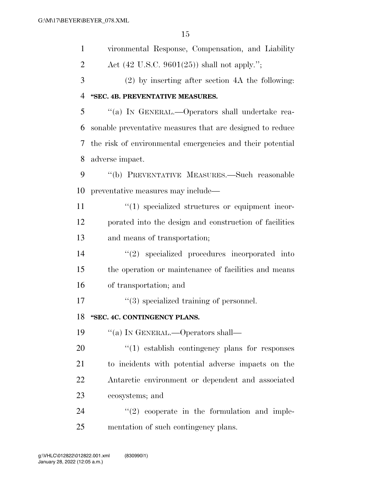| $\mathbf{1}$   | vironmental Response, Compensation, and Liability         |
|----------------|-----------------------------------------------------------|
| $\overline{2}$ | Act $(42 \text{ U.S.C. } 9601(25))$ shall not apply.";    |
| 3              | $(2)$ by inserting after section 4A the following:        |
| $\overline{4}$ | "SEC. 4B. PREVENTATIVE MEASURES.                          |
| 5              | "(a) IN GENERAL.—Operators shall undertake rea-           |
| 6              | sonable preventative measures that are designed to reduce |
| 7              | the risk of environmental emergencies and their potential |
| 8              | adverse impact.                                           |
| 9              | "(b) PREVENTATIVE MEASURES.—Such reasonable               |
| 10             | preventative measures may include—                        |
| 11             | $\lq(1)$ specialized structures or equipment incor-       |
| 12             | porated into the design and construction of facilities    |
| 13             | and means of transportation;                              |
| 14             | $"(2)$ specialized procedures incorporated into           |
| 15             | the operation or maintenance of facilities and means      |
| 16             | of transportation; and                                    |
| 17             | $\lq(3)$ specialized training of personnel.               |
| 18             | "SEC. 4C. CONTINGENCY PLANS.                              |
| 19             | "(a) IN GENERAL.—Operators shall—                         |
| 20             | $\lq(1)$ establish contingency plans for responses        |
| 21             | to incidents with potential adverse impacts on the        |
| 22             | Antarctic environment or dependent and associated         |
| 23             | ecosystems; and                                           |
| 24             | $\lq(2)$ cooperate in the formulation and imple-          |
| 25             | mentation of such contingency plans.                      |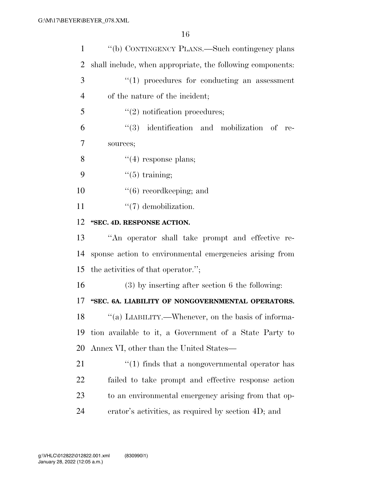| $\mathbf{1}$   | "(b) CONTINGENCY PLANS.—Such contingency plans                 |
|----------------|----------------------------------------------------------------|
| $\overline{2}$ | shall include, when appropriate, the following components:     |
| 3              | $\lq(1)$ procedures for conducting an assessment               |
| $\overline{4}$ | of the nature of the incident;                                 |
| 5              | $\lq(2)$ notification procedures;                              |
| 6              | $(3)$ identification and mobilization of re-                   |
| 7              | sources;                                                       |
| 8              | $\lq(4)$ response plans;                                       |
| 9              | $\lq(5)$ training;                                             |
| 10             | $\lq\lq(6)$ record keeping; and                                |
| 11             | $\lq(7)$ demobilization.                                       |
| 12             | "SEC. 4D. RESPONSE ACTION.                                     |
| 13             | "An operator shall take prompt and effective re-               |
| 14             | sponse action to environmental emergencies arising from        |
| 15             | the activities of that operator.";                             |
| 16             | $(3)$ by inserting after section 6 the following:              |
| 17             | "SEC. 6A. LIABILITY OF NONGOVERNMENTAL OPERATORS.              |
| 18             | "(a) LIABILITY.—Whenever, on the basis of informa-             |
| 19             | tion available to it, a Government of a State Party to         |
| 20             | Annex VI, other than the United States—                        |
| 21             | $\cdot\cdot\cdot(1)$ finds that a nongovernmental operator has |
| 22             | failed to take prompt and effective response action            |
| 23             | to an environmental emergency arising from that op-            |
| 24             | erator's activities, as required by section 4D; and            |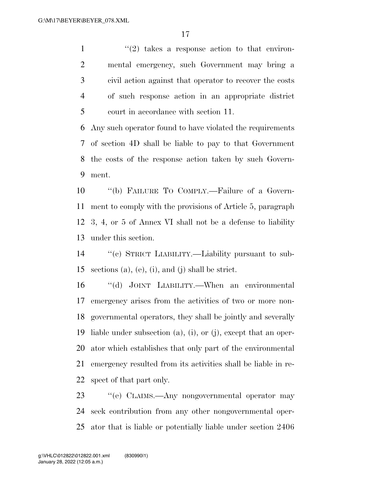$\frac{1}{2}$  ''(2) takes a response action to that environ- mental emergency, such Government may bring a civil action against that operator to recover the costs of such response action in an appropriate district court in accordance with section 11.

 Any such operator found to have violated the requirements of section 4D shall be liable to pay to that Government the costs of the response action taken by such Govern-ment.

 ''(b) FAILURE TO COMPLY.—Failure of a Govern- ment to comply with the provisions of Article 5, paragraph 3, 4, or 5 of Annex VI shall not be a defense to liability under this section.

 ''(c) STRICT LIABILITY.—Liability pursuant to sub-sections (a), (e), (i), and (j) shall be strict.

 ''(d) JOINT LIABILITY.—When an environmental emergency arises from the activities of two or more non- governmental operators, they shall be jointly and severally liable under subsection (a), (i), or (j), except that an oper- ator which establishes that only part of the environmental emergency resulted from its activities shall be liable in re-spect of that part only.

23 "'(e) CLAIMS.—Any nongovernmental operator may seek contribution from any other nongovernmental oper-ator that is liable or potentially liable under section 2406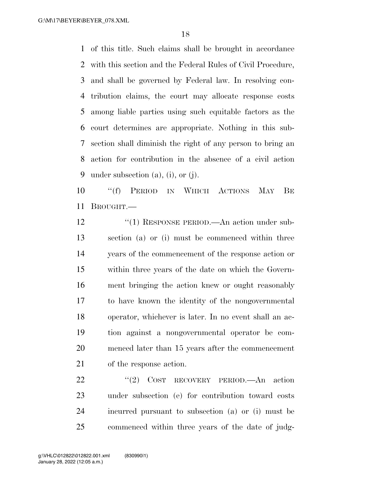of this title. Such claims shall be brought in accordance with this section and the Federal Rules of Civil Procedure, and shall be governed by Federal law. In resolving con- tribution claims, the court may allocate response costs among liable parties using such equitable factors as the court determines are appropriate. Nothing in this sub- section shall diminish the right of any person to bring an action for contribution in the absence of a civil action under subsection (a), (i), or (j).

 ''(f) PERIOD IN WHICH ACTIONS MAY BE BROUGHT.—

12 "(1) RESPONSE PERIOD.—An action under sub- section (a) or (i) must be commenced within three years of the commencement of the response action or within three years of the date on which the Govern- ment bringing the action knew or ought reasonably to have known the identity of the nongovernmental operator, whichever is later. In no event shall an ac- tion against a nongovernmental operator be com- menced later than 15 years after the commencement of the response action.

22 "(2) COST RECOVERY PERIOD.—An action under subsection (e) for contribution toward costs incurred pursuant to subsection (a) or (i) must be commenced within three years of the date of judg-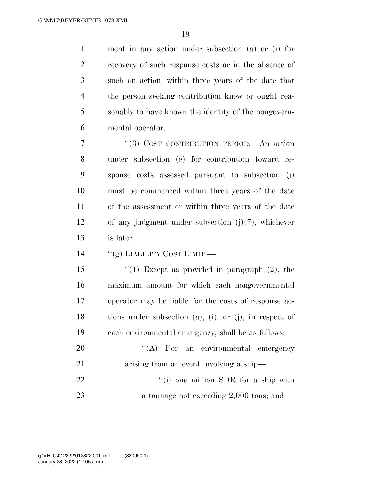ment in any action under subsection (a) or (i) for recovery of such response costs or in the absence of such an action, within three years of the date that the person seeking contribution knew or ought rea- sonably to have known the identity of the nongovern-mental operator.

 ''(3) COST CONTRIBUTION PERIOD.—An action under subsection (e) for contribution toward re- sponse costs assessed pursuant to subsection (j) must be commenced within three years of the date of the assessment or within three years of the date of any judgment under subsection (j)(7), whichever is later.

14 "(g) LIABILITY COST LIMIT.—

 ''(1) Except as provided in paragraph (2), the maximum amount for which each nongovernmental operator may be liable for the costs of response ac- tions under subsection (a), (i), or (j), in respect of each environmental emergency, shall be as follows:

20 "'(A) For an environmental emergency 21 arising from an event involving a ship— 22  $\frac{1}{2}$   $\frac{1}{2}$   $\frac{1}{2}$  one million SDR for a ship with a tonnage not exceeding 2,000 tons; and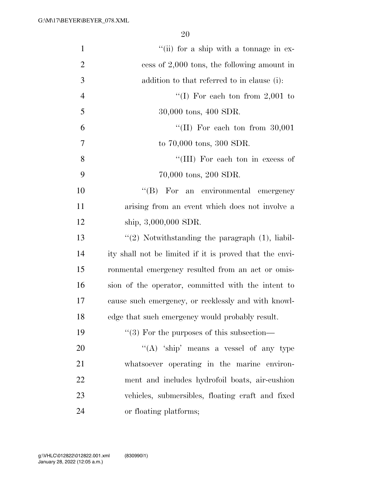| $\mathbf{1}$   | "(ii) for a ship with a tonnage in ex-                  |
|----------------|---------------------------------------------------------|
| $\overline{2}$ | cess of $2,000$ tons, the following amount in           |
| 3              | addition to that referred to in clause (i):             |
| $\overline{4}$ | "(I) For each ton from $2,001$ to                       |
| 5              | 30,000 tons, 400 SDR.                                   |
| 6              | "(II) For each ton from $30,001$                        |
| $\overline{7}$ | to 70,000 tons, 300 SDR.                                |
| 8              | "(III) For each ton in excess of                        |
| 9              | 70,000 tons, 200 SDR.                                   |
| 10             | "(B) For an environmental emergency                     |
| 11             | arising from an event which does not involve a          |
| 12             | ship, $3,000,000$ SDR.                                  |
| 13             | $\lq(2)$ Notwithstanding the paragraph $(1)$ , liabil-  |
| 14             | ity shall not be limited if it is proved that the envi- |
| 15             | ronmental emergency resulted from an act or omis-       |
| 16             | sion of the operator, committed with the intent to      |
| 17             | cause such emergency, or recklessly and with knowl-     |
| 18             | edge that such emergency would probably result.         |
| 19             | $``(3)$ For the purposes of this subsection—            |
| 20             | "(A) 'ship' means a vessel of any type                  |
| 21             | whatsoever operating in the marine environ-             |
| 22             | ment and includes hydrofoil boats, air-cushion          |
| 23             | vehicles, submersibles, floating craft and fixed        |
| 24             | or floating platforms;                                  |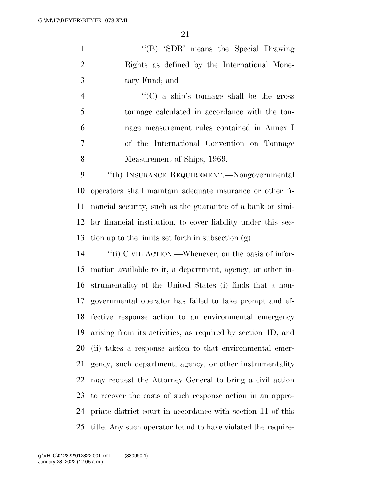1 ''(B) 'SDR' means the Special Drawing Rights as defined by the International Mone-tary Fund; and

 ''(C) a ship's tonnage shall be the gross tonnage calculated in accordance with the ton- nage measurement rules contained in Annex I of the International Convention on Tonnage Measurement of Ships, 1969.

 ''(h) INSURANCE REQUIREMENT.—Nongovernmental operators shall maintain adequate insurance or other fi- nancial security, such as the guarantee of a bank or simi- lar financial institution, to cover liability under this sec-tion up to the limits set forth in subsection (g).

 ''(i) CIVIL ACTION.—Whenever, on the basis of infor- mation available to it, a department, agency, or other in- strumentality of the United States (i) finds that a non- governmental operator has failed to take prompt and ef- fective response action to an environmental emergency arising from its activities, as required by section 4D, and (ii) takes a response action to that environmental emer- gency, such department, agency, or other instrumentality may request the Attorney General to bring a civil action to recover the costs of such response action in an appro- priate district court in accordance with section 11 of this title. Any such operator found to have violated the require-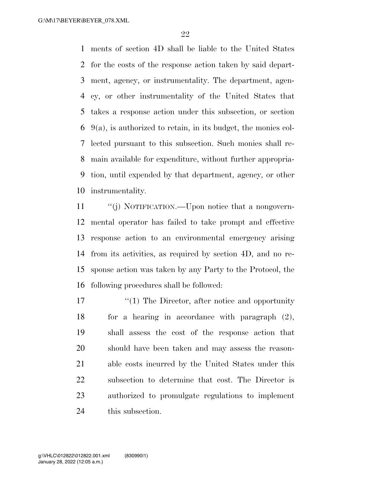ments of section 4D shall be liable to the United States for the costs of the response action taken by said depart- ment, agency, or instrumentality. The department, agen- cy, or other instrumentality of the United States that takes a response action under this subsection, or section 9(a), is authorized to retain, in its budget, the monies col- lected pursuant to this subsection. Such monies shall re- main available for expenditure, without further appropria- tion, until expended by that department, agency, or other instrumentality.

 ''(j) NOTIFICATION.—Upon notice that a nongovern- mental operator has failed to take prompt and effective response action to an environmental emergency arising from its activities, as required by section 4D, and no re- sponse action was taken by any Party to the Protocol, the following procedures shall be followed:

17 ''(1) The Director, after notice and opportunity for a hearing in accordance with paragraph (2), shall assess the cost of the response action that should have been taken and may assess the reason- able costs incurred by the United States under this subsection to determine that cost. The Director is authorized to promulgate regulations to implement this subsection.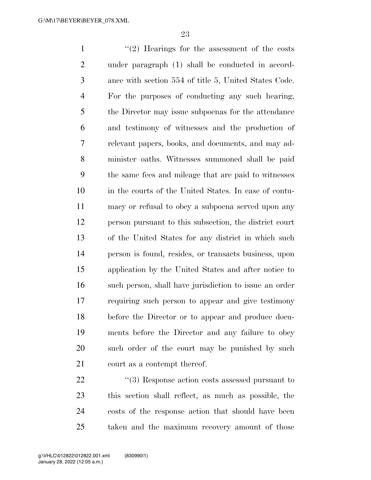1 ''(2) Hearings for the assessment of the costs under paragraph (1) shall be conducted in accord- ance with section 554 of title 5, United States Code. For the purposes of conducting any such hearing, the Director may issue subpoenas for the attendance and testimony of witnesses and the production of relevant papers, books, and documents, and may ad- minister oaths. Witnesses summoned shall be paid the same fees and mileage that are paid to witnesses in the courts of the United States. In case of contu- macy or refusal to obey a subpoena served upon any person pursuant to this subsection, the district court of the United States for any district in which such person is found, resides, or transacts business, upon application by the United States and after notice to such person, shall have jurisdiction to issue an order requiring such person to appear and give testimony before the Director or to appear and produce docu- ments before the Director and any failure to obey such order of the court may be punished by such court as a contempt thereof.

22 ''(3) Response action costs assessed pursuant to this section shall reflect, as much as possible, the costs of the response action that should have been taken and the maximum recovery amount of those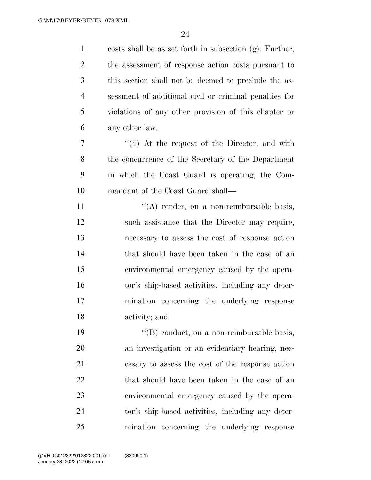| $\mathbf{1}$   | costs shall be as set forth in subsection (g). Further, |
|----------------|---------------------------------------------------------|
| $\overline{2}$ | the assessment of response action costs pursuant to     |
| 3              | this section shall not be deemed to preclude the as-    |
| $\overline{4}$ | sessment of additional civil or criminal penalties for  |
| 5              | violations of any other provision of this chapter or    |
| 6              | any other law.                                          |
| 7              | $\cdot$ (4) At the request of the Director, and with    |
| 8              | the concurrence of the Secretary of the Department      |
| 9              | in which the Coast Guard is operating, the Com-         |
| 10             | mandant of the Coast Guard shall—                       |
| 11             | $\lq\lq$ render, on a non-reimbursable basis,           |
| 12             | such assistance that the Director may require,          |
| 13             | necessary to assess the cost of response action         |
| 14             | that should have been taken in the case of an           |
| 15             | environmental emergency caused by the opera-            |
| 16             | tor's ship-based activities, including any deter-       |
| 17             | mination concerning the underlying response             |
| 18             | activity; and                                           |
| 19             | "(B) conduct, on a non-reimbursable basis,              |
| 20             | an investigation or an evidentiary hearing, nec-        |
| 21             | essary to assess the cost of the response action        |
| 22             | that should have been taken in the case of an           |
| 23             | environmental emergency caused by the opera-            |
| 24             | tor's ship-based activities, including any deter-       |
| 25             | mination concerning the underlying response             |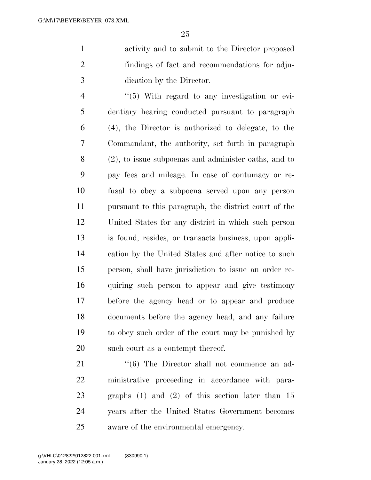activity and to submit to the Director proposed findings of fact and recommendations for adju-dication by the Director.

4 "(5) With regard to any investigation or evi- dentiary hearing conducted pursuant to paragraph (4), the Director is authorized to delegate, to the Commandant, the authority, set forth in paragraph (2), to issue subpoenas and administer oaths, and to pay fees and mileage. In case of contumacy or re- fusal to obey a subpoena served upon any person pursuant to this paragraph, the district court of the United States for any district in which such person is found, resides, or transacts business, upon appli- cation by the United States and after notice to such person, shall have jurisdiction to issue an order re- quiring such person to appear and give testimony before the agency head or to appear and produce documents before the agency head, and any failure to obey such order of the court may be punished by 20 such court as a contempt thereof.

21 ''(6) The Director shall not commence an ad- ministrative proceeding in accordance with para- graphs (1) and (2) of this section later than 15 years after the United States Government becomes aware of the environmental emergency.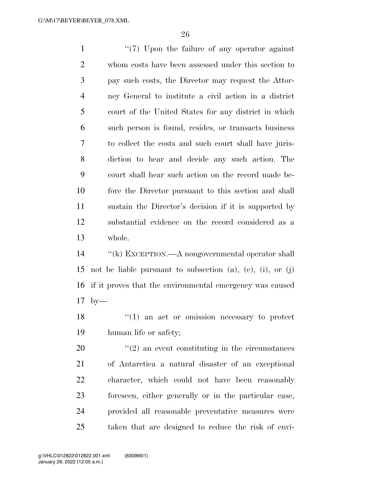1 ''(7) Upon the failure of any operator against whom costs have been assessed under this section to pay such costs, the Director may request the Attor- ney General to institute a civil action in a district court of the United States for any district in which such person is found, resides, or transacts business to collect the costs and such court shall have juris- diction to hear and decide any such action. The court shall hear such action on the record made be- fore the Director pursuant to this section and shall sustain the Director's decision if it is supported by substantial evidence on the record considered as a whole.

 ''(k) EXCEPTION.—A nongovernmental operator shall not be liable pursuant to subsection (a), (e), (i), or (j) if it proves that the environmental emergency was caused by—

18 ''(1) an act or omission necessary to protect human life or safety;

 ''(2) an event constituting in the circumstances of Antarctica a natural disaster of an exceptional character, which could not have been reasonably foreseen, either generally or in the particular case, provided all reasonable preventative measures were taken that are designed to reduce the risk of envi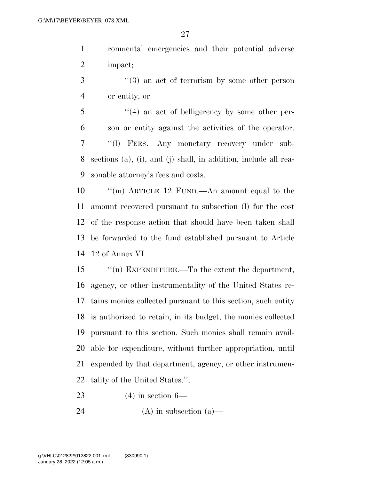ronmental emergencies and their potential adverse impact;

- ''(3) an act of terrorism by some other person or entity; or
- ''(4) an act of belligerency by some other per- son or entity against the activities of the operator. ''(l) FEES.—Any monetary recovery under sub- sections (a), (i), and (j) shall, in addition, include all rea-sonable attorney's fees and costs.

 ''(m) ARTICLE 12 FUND.—An amount equal to the amount recovered pursuant to subsection (l) for the cost of the response action that should have been taken shall be forwarded to the fund established pursuant to Article 12 of Annex VI.

 ''(n) EXPENDITURE.—To the extent the department, agency, or other instrumentality of the United States re- tains monies collected pursuant to this section, such entity is authorized to retain, in its budget, the monies collected pursuant to this section. Such monies shall remain avail- able for expenditure, without further appropriation, until expended by that department, agency, or other instrumen-tality of the United States.'';

(4) in section 6—

24 (A) in subsection  $(a)$ —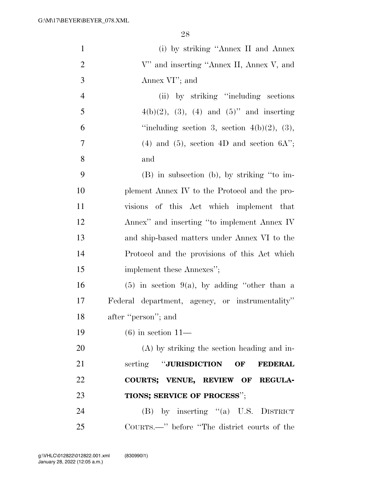| $\mathbf{1}$   | (i) by striking "Annex II and Annex"               |
|----------------|----------------------------------------------------|
| $\overline{2}$ | V" and inserting "Annex II, Annex V, and           |
| 3              | Annex VI"; and                                     |
| $\overline{4}$ | (ii) by striking "including sections"              |
| 5              | $4(b)(2)$ , (3), (4) and (5)" and inserting        |
| 6              | "including section 3, section $4(b)(2)$ , (3),     |
| 7              | $(4)$ and $(5)$ , section $4D$ and section $6A$ "; |
| 8              | and                                                |
| 9              | (B) in subsection (b), by striking "to im-         |
| 10             | plement Annex IV to the Protocol and the pro-      |
| 11             | visions of this Act which implement that           |
| 12             | Annex" and inserting "to implement Annex IV        |
| 13             | and ship-based matters under Annex VI to the       |
| 14             | Protocol and the provisions of this Act which      |
| 15             | implement these Annexes";                          |
| 16             | $(5)$ in section 9(a), by adding "other than a     |
| 17             | Federal department, agency, or instrumentality"    |
| 18             | after "person"; and                                |
| 19             | $(6)$ in section 11—                               |
| 20             | $(A)$ by striking the section heading and in-      |
| 21             | serting "JURISDICTION OF<br><b>FEDERAL</b>         |
| 22             | COURTS; VENUE, REVIEW OF REGULA-                   |
| 23             | TIONS; SERVICE OF PROCESS";                        |
| 24             | $(B)$ by inserting "(a) U.S. DISTRICT              |
| 25             | COURTS.—" before "The district courts of the       |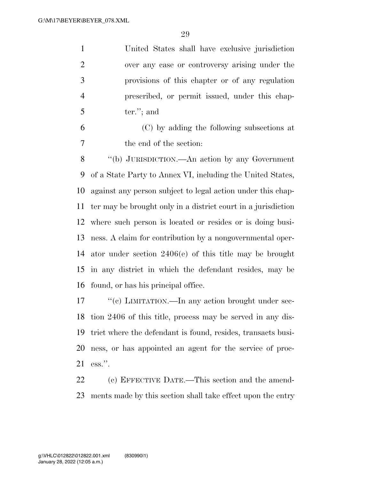United States shall have exclusive jurisdiction over any case or controversy arising under the provisions of this chapter or of any regulation prescribed, or permit issued, under this chap-ter."; and

 (C) by adding the following subsections at the end of the section:

 ''(b) JURISDICTION.—An action by any Government of a State Party to Annex VI, including the United States, against any person subject to legal action under this chap- ter may be brought only in a district court in a jurisdiction where such person is located or resides or is doing busi- ness. A claim for contribution by a nongovernmental oper- ator under section 2406(e) of this title may be brought in any district in which the defendant resides, may be found, or has his principal office.

 $\lq$  (c) LIMITATION.—In any action brought under sec- tion 2406 of this title, process may be served in any dis- trict where the defendant is found, resides, transacts busi- ness, or has appointed an agent for the service of proc-ess.''.

 (c) EFFECTIVE DATE.—This section and the amend-ments made by this section shall take effect upon the entry